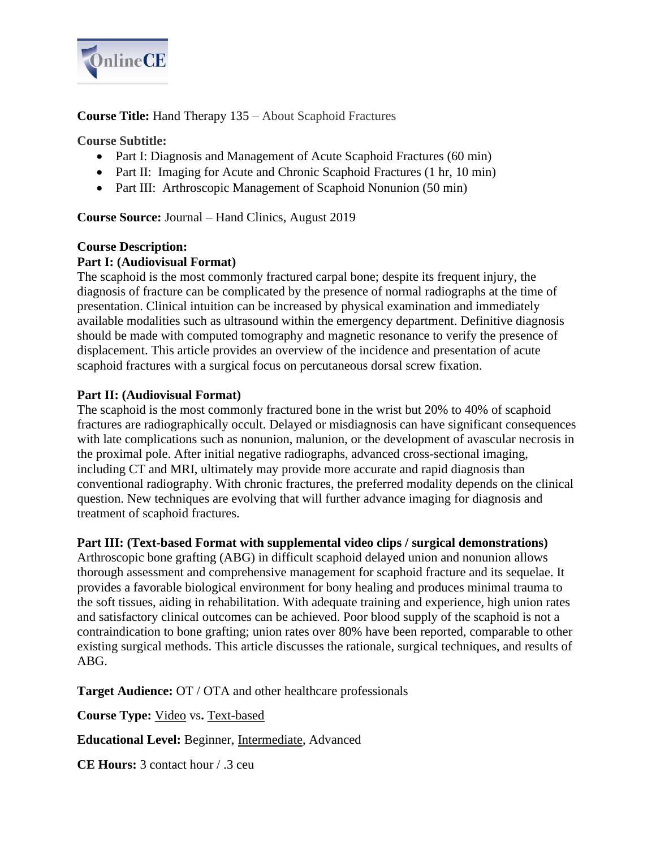

**Course Title:** Hand Therapy 135 – About Scaphoid Fractures

**Course Subtitle:** 

- Part I: Diagnosis and Management of Acute Scaphoid Fractures (60 min)
- Part II: Imaging for Acute and Chronic Scaphoid Fractures (1 hr, 10 min)
- Part III: Arthroscopic Management of Scaphoid Nonunion (50 min)

**Course Source:** Journal – Hand Clinics, August 2019

## **Course Description: Part I: (Audiovisual Format)**

The scaphoid is the most commonly fractured carpal bone; despite its frequent injury, the diagnosis of fracture can be complicated by the presence of normal radiographs at the time of presentation. Clinical intuition can be increased by physical examination and immediately available modalities such as ultrasound within the emergency department. Definitive diagnosis should be made with computed tomography and magnetic resonance to verify the presence of displacement. This article provides an overview of the incidence and presentation of acute scaphoid fractures with a surgical focus on percutaneous dorsal screw fixation.

# **Part II: (Audiovisual Format)**

The scaphoid is the most commonly fractured bone in the wrist but 20% to 40% of scaphoid fractures are radiographically occult. Delayed or misdiagnosis can have significant consequences with late complications such as nonunion, malunion, or the development of avascular necrosis in the proximal pole. After initial negative radiographs, advanced cross-sectional imaging, including CT and MRI, ultimately may provide more accurate and rapid diagnosis than conventional radiography. With chronic fractures, the preferred modality depends on the clinical question. New techniques are evolving that will further advance imaging for diagnosis and treatment of scaphoid fractures.

# **Part III: (Text-based Format with supplemental video clips / surgical demonstrations)**

Arthroscopic bone grafting (ABG) in difficult scaphoid delayed union and nonunion allows thorough assessment and comprehensive management for scaphoid fracture and its sequelae. It provides a favorable biological environment for bony healing and produces minimal trauma to the soft tissues, aiding in rehabilitation. With adequate training and experience, high union rates and satisfactory clinical outcomes can be achieved. Poor blood supply of the scaphoid is not a contraindication to bone grafting; union rates over 80% have been reported, comparable to other existing surgical methods. This article discusses the rationale, surgical techniques, and results of ABG.

**Target Audience:** OT / OTA and other healthcare professionals

**Course Type:** Video vs**.** Text-based

**Educational Level:** Beginner, Intermediate, Advanced

**CE Hours:** 3 contact hour / .3 ceu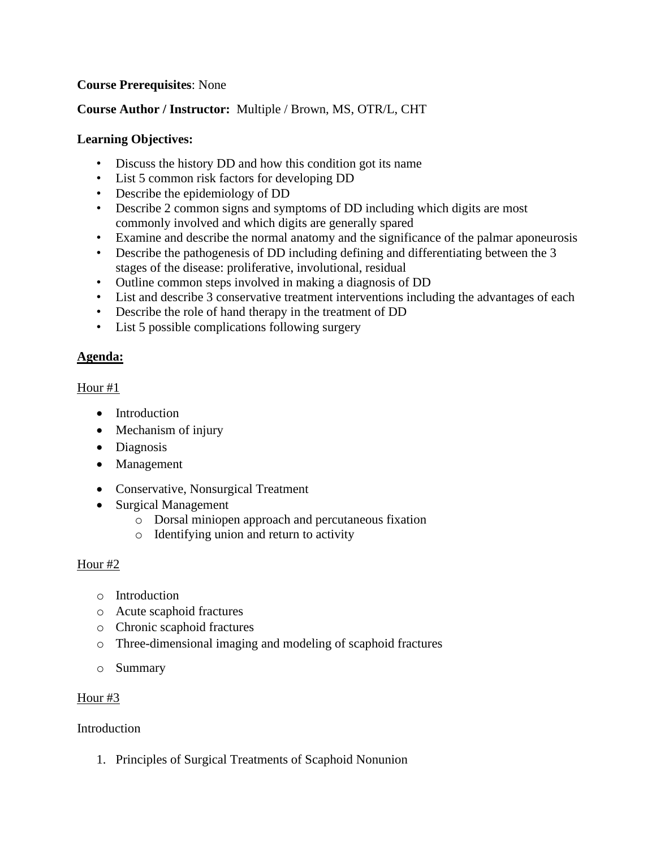## **Course Prerequisites**: None

# **Course Author / Instructor:** Multiple / Brown, MS, OTR/L, CHT

### **Learning Objectives:**

- Discuss the history DD and how this condition got its name
- List 5 common risk factors for developing DD
- Describe the epidemiology of DD
- Describe 2 common signs and symptoms of DD including which digits are most commonly involved and which digits are generally spared
- Examine and describe the normal anatomy and the significance of the palmar aponeurosis
- Describe the pathogenesis of DD including defining and differentiating between the 3 stages of the disease: proliferative, involutional, residual
- Outline common steps involved in making a diagnosis of DD
- List and describe 3 conservative treatment interventions including the advantages of each
- Describe the role of hand therapy in the treatment of DD
- List 5 possible complications following surgery

### **Agenda:**

#### Hour #1

- [Introduction](https://www.hand.theclinics.com/article/S0749-0712(19)30017-4/fulltext#sec2)
- [Mechanism of injury](https://www.hand.theclinics.com/article/S0749-0712(19)30017-4/fulltext#sec3)
- [Diagnosis](https://www.hand.theclinics.com/article/S0749-0712(19)30017-4/fulltext#sec4)
- [Management](https://www.hand.theclinics.com/article/S0749-0712(19)30017-4/fulltext#sec5)
- [Conservative, Nonsurgical Treatment](https://www.hand.theclinics.com/article/S0749-0712(19)30017-4/fulltext#sec5.1)
- [Surgical Management](https://www.hand.theclinics.com/article/S0749-0712(19)30017-4/fulltext#sec5.2)
	- o [Dorsal miniopen approach and percutaneous fixation](https://www.hand.theclinics.com/article/S0749-0712(19)30017-4/fulltext#sec5.2.1)
	- o [Identifying union and return to activity](https://www.hand.theclinics.com/article/S0749-0712(19)30017-4/fulltext#sec6)

#### Hour #2

- o [Introduction](https://www.hand.theclinics.com/article/S0749-0712(19)30016-2/fulltext#sec2)
- o [Acute scaphoid fractures](https://www.hand.theclinics.com/article/S0749-0712(19)30016-2/fulltext#sec3)
- o [Chronic scaphoid fractures](https://www.hand.theclinics.com/article/S0749-0712(19)30016-2/fulltext#sec4)
- o [Three-dimensional imaging and modeling of scaphoid fractures](https://www.hand.theclinics.com/article/S0749-0712(19)30016-2/fulltext#sec5)
- o [Summary](https://www.hand.theclinics.com/article/S0749-0712(19)30016-2/fulltext#sec6)

#### Hour #3

#### **[Introduction](https://www.hand.theclinics.com/article/S0749-0712(19)30018-6/fulltext#sec2)**

1. [Principles of Surgical Treatments of Scaphoid](https://www.hand.theclinics.com/article/S0749-0712(19)30018-6/fulltext#sec2.1) Nonunion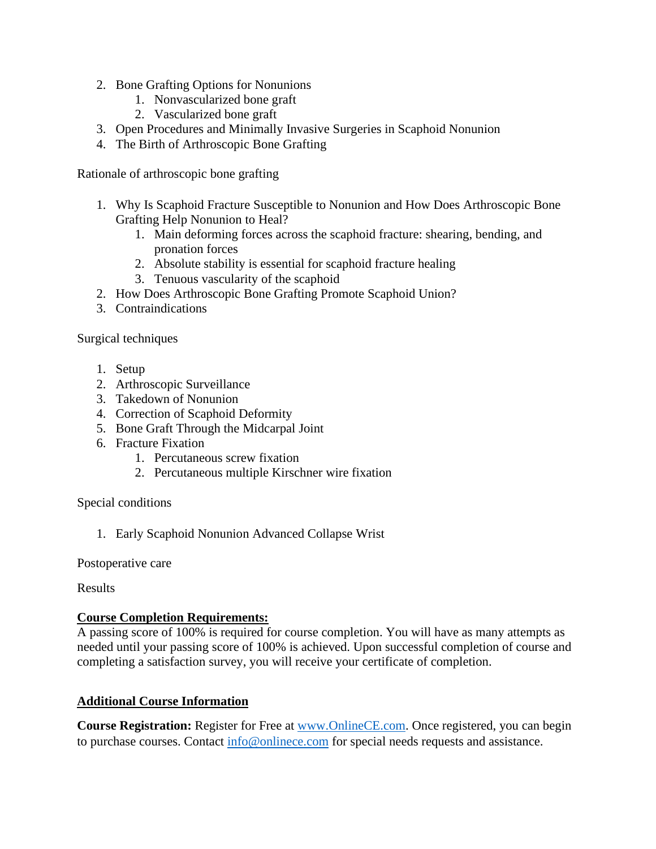- 2. [Bone Grafting Options for Nonunions](https://www.hand.theclinics.com/article/S0749-0712(19)30018-6/fulltext#sec2.2)
	- 1. [Nonvascularized bone graft](https://www.hand.theclinics.com/article/S0749-0712(19)30018-6/fulltext#sec2.2.1)
	- 2. [Vascularized bone graft](https://www.hand.theclinics.com/article/S0749-0712(19)30018-6/fulltext#sec2.2.2)
- 3. Open Procedures [and Minimally Invasive Surgeries in Scaphoid Nonunion](https://www.hand.theclinics.com/article/S0749-0712(19)30018-6/fulltext#sec2.3)
- 4. [The Birth of Arthroscopic Bone Grafting](https://www.hand.theclinics.com/article/S0749-0712(19)30018-6/fulltext#sec2.4)

[Rationale of arthroscopic bone grafting](https://www.hand.theclinics.com/article/S0749-0712(19)30018-6/fulltext#sec3)

- 1. [Why Is Scaphoid Fracture Susceptible to Nonunion and How Does Arthroscopic Bone](https://www.hand.theclinics.com/article/S0749-0712(19)30018-6/fulltext#sec3.1) [Grafting Help Nonunion to Heal?](https://www.hand.theclinics.com/article/S0749-0712(19)30018-6/fulltext#sec3.1)
	- 1. [Main deforming forces across the scaphoid fracture: shearing, bending, and](https://www.hand.theclinics.com/article/S0749-0712(19)30018-6/fulltext#sec3.1.1)  [pronation forces](https://www.hand.theclinics.com/article/S0749-0712(19)30018-6/fulltext#sec3.1.1)
	- 2. [Absolute stability is essential for scaphoid fracture healing](https://www.hand.theclinics.com/article/S0749-0712(19)30018-6/fulltext#sec3.1.2)
	- 3. [Tenuous vascularity of](https://www.hand.theclinics.com/article/S0749-0712(19)30018-6/fulltext#sec3.1.3) the scaphoid
- 2. [How Does Arthroscopic Bone Grafting Promote Scaphoid Union?](https://www.hand.theclinics.com/article/S0749-0712(19)30018-6/fulltext#sec3.2)
- 3. [Contraindications](https://www.hand.theclinics.com/article/S0749-0712(19)30018-6/fulltext#sec3.3)

[Surgical techniques](https://www.hand.theclinics.com/article/S0749-0712(19)30018-6/fulltext#sec4)

- 1. [Setup](https://www.hand.theclinics.com/article/S0749-0712(19)30018-6/fulltext#sec4.1)
- 2. [Arthroscopic Surveillance](https://www.hand.theclinics.com/article/S0749-0712(19)30018-6/fulltext#sec4.2)
- 3. [Takedown of Nonunion](https://www.hand.theclinics.com/article/S0749-0712(19)30018-6/fulltext#sec4.3)
- 4. [Correction of Scaphoid Deformity](https://www.hand.theclinics.com/article/S0749-0712(19)30018-6/fulltext#sec4.4)
- 5. [Bone Graft Through the Midcarpal Joint](https://www.hand.theclinics.com/article/S0749-0712(19)30018-6/fulltext#sec4.5)
- 6. [Fracture Fixation](https://www.hand.theclinics.com/article/S0749-0712(19)30018-6/fulltext#sec4.6)
	- 1. [Percutaneous screw fixation](https://www.hand.theclinics.com/article/S0749-0712(19)30018-6/fulltext#sec4.6.1)
	- 2. [Percutaneous multiple Kirschner wire fixation](https://www.hand.theclinics.com/article/S0749-0712(19)30018-6/fulltext#sec4.6.2)

[Special conditions](https://www.hand.theclinics.com/article/S0749-0712(19)30018-6/fulltext#sec5)

1. [Early Scaphoid Nonunion Advanced Collapse Wrist](https://www.hand.theclinics.com/article/S0749-0712(19)30018-6/fulltext#sec5.1)

[Postoperative care](https://www.hand.theclinics.com/article/S0749-0712(19)30018-6/fulltext#sec6)

[Results](https://www.hand.theclinics.com/article/S0749-0712(19)30018-6/fulltext#sec7)

#### **Course Completion Requirements:**

A passing score of 100% is required for course completion. You will have as many attempts as needed until your passing score of 100% is achieved. Upon successful completion of course and completing a satisfaction survey, you will receive your certificate of completion.

#### **Additional Course Information**

**Course Registration:** Register for Free at [www.OnlineCE.com.](http://www.onlinece.com/) Once registered, you can begin to purchase courses. Contact [info@onlinece.com](mailto:info@onlinece.com) for special needs requests and assistance.